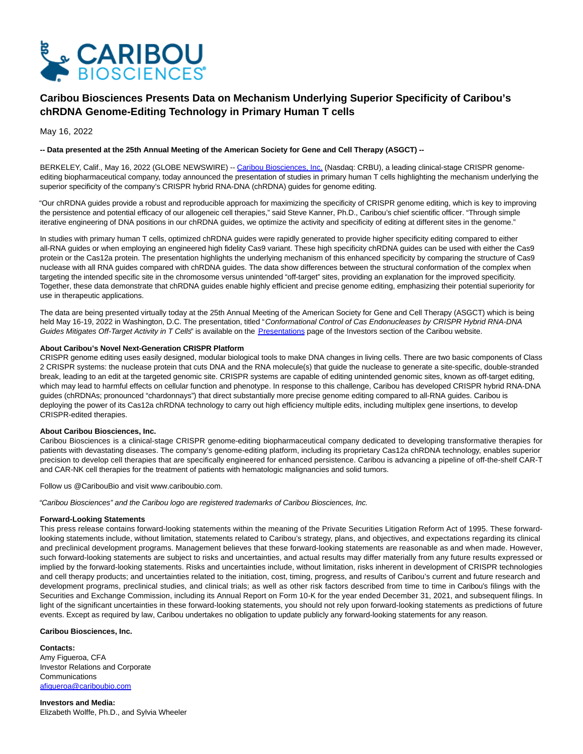

# **Caribou Biosciences Presents Data on Mechanism Underlying Superior Specificity of Caribou's chRDNA Genome-Editing Technology in Primary Human T cells**

May 16, 2022

## **-- Data presented at the 25th Annual Meeting of the American Society for Gene and Cell Therapy (ASGCT) --**

BERKELEY, Calif., May 16, 2022 (GLOBE NEWSWIRE) -[- Caribou Biosciences, Inc. \(](https://www.globenewswire.com/Tracker?data=qjel_2LPpPouwVQlkX1hwcvq63cMwdlzOvt1QBK72RIGYnn4P9rQS5w9Gf6UiyDv0l-H5j_TtWPCpZeRbgPG6McAXGnNc5ySeUVVg1YMaI8=)Nasdaq: CRBU), a leading clinical-stage CRISPR genomeediting biopharmaceutical company, today announced the presentation of studies in primary human T cells highlighting the mechanism underlying the superior specificity of the company's CRISPR hybrid RNA-DNA (chRDNA) guides for genome editing.

"Our chRDNA guides provide a robust and reproducible approach for maximizing the specificity of CRISPR genome editing, which is key to improving the persistence and potential efficacy of our allogeneic cell therapies," said Steve Kanner, Ph.D., Caribou's chief scientific officer. "Through simple iterative engineering of DNA positions in our chRDNA guides, we optimize the activity and specificity of editing at different sites in the genome."

In studies with primary human T cells, optimized chRDNA guides were rapidly generated to provide higher specificity editing compared to either all-RNA guides or when employing an engineered high fidelity Cas9 variant. These high specificity chRDNA guides can be used with either the Cas9 protein or the Cas12a protein. The presentation highlights the underlying mechanism of this enhanced specificity by comparing the structure of Cas9 nuclease with all RNA guides compared with chRDNA guides. The data show differences between the structural conformation of the complex when targeting the intended specific site in the chromosome versus unintended "off-target" sites, providing an explanation for the improved specificity. Together, these data demonstrate that chRDNA guides enable highly efficient and precise genome editing, emphasizing their potential superiority for use in therapeutic applications.

The data are being presented virtually today at the 25th Annual Meeting of the American Society for Gene and Cell Therapy (ASGCT) which is being held May 16-19, 2022 in Washington, D.C. The presentation, titled "Conformational Control of Cas Endonucleases by CRISPR Hybrid RNA-DNA Guides Mitigates Off-Target Activity in T Cells" is available on the [Presentations p](https://www.globenewswire.com/Tracker?data=W_I9TAA4hrOWElfXkzP6UxtDqehund4-r6u96pQEXm0i3s88kwThB3ZcEYWUWGElPV0tkVjYhoZpIIujzNidanUKsqIUbOHFv8OMIpgUZnbf8Gju7pT8LeucsQWQ6-C7)age of the Investors section of the Caribou website.

### **About Caribou's Novel Next-Generation CRISPR Platform**

CRISPR genome editing uses easily designed, modular biological tools to make DNA changes in living cells. There are two basic components of Class 2 CRISPR systems: the nuclease protein that cuts DNA and the RNA molecule(s) that guide the nuclease to generate a site-specific, double-stranded break, leading to an edit at the targeted genomic site. CRISPR systems are capable of editing unintended genomic sites, known as off-target editing, which may lead to harmful effects on cellular function and phenotype. In response to this challenge, Caribou has developed CRISPR hybrid RNA-DNA guides (chRDNAs; pronounced "chardonnays") that direct substantially more precise genome editing compared to all-RNA guides. Caribou is deploying the power of its Cas12a chRDNA technology to carry out high efficiency multiple edits, including multiplex gene insertions, to develop CRISPR-edited therapies.

# **About Caribou Biosciences, Inc.**

Caribou Biosciences is a clinical-stage CRISPR genome-editing biopharmaceutical company dedicated to developing transformative therapies for patients with devastating diseases. The company's genome-editing platform, including its proprietary Cas12a chRDNA technology, enables superior precision to develop cell therapies that are specifically engineered for enhanced persistence. Caribou is advancing a pipeline of off-the-shelf CAR-T and CAR-NK cell therapies for the treatment of patients with hematologic malignancies and solid tumors.

Follow us @CaribouBio and visit www.cariboubio.com.

"Caribou Biosciences" and the Caribou logo are registered trademarks of Caribou Biosciences, Inc.

### **Forward-Looking Statements**

This press release contains forward-looking statements within the meaning of the Private Securities Litigation Reform Act of 1995. These forwardlooking statements include, without limitation, statements related to Caribou's strategy, plans, and objectives, and expectations regarding its clinical and preclinical development programs. Management believes that these forward-looking statements are reasonable as and when made. However, such forward-looking statements are subject to risks and uncertainties, and actual results may differ materially from any future results expressed or implied by the forward-looking statements. Risks and uncertainties include, without limitation, risks inherent in development of CRISPR technologies and cell therapy products; and uncertainties related to the initiation, cost, timing, progress, and results of Caribou's current and future research and development programs, preclinical studies, and clinical trials; as well as other risk factors described from time to time in Caribou's filings with the Securities and Exchange Commission, including its Annual Report on Form 10-K for the year ended December 31, 2021, and subsequent filings. In light of the significant uncertainties in these forward-looking statements, you should not rely upon forward-looking statements as predictions of future events. Except as required by law, Caribou undertakes no obligation to update publicly any forward-looking statements for any reason.

## **Caribou Biosciences, Inc.**

**Contacts:** Amy Figueroa, CFA Investor Relations and Corporate **Communications** [afigueroa@cariboubio.com](https://www.globenewswire.com/Tracker?data=ED_NIoCFJbs2t_TAeocs2fIOOtZGg7jQuNHsd75JJw7XvAWZsUjArOeNOSM4TJNcAzj-AgHY4NJD1MPd4ueuHVK6aPpbR8DmaqkezH15ab8=)

**Investors and Media:** Elizabeth Wolffe, Ph.D., and Sylvia Wheeler